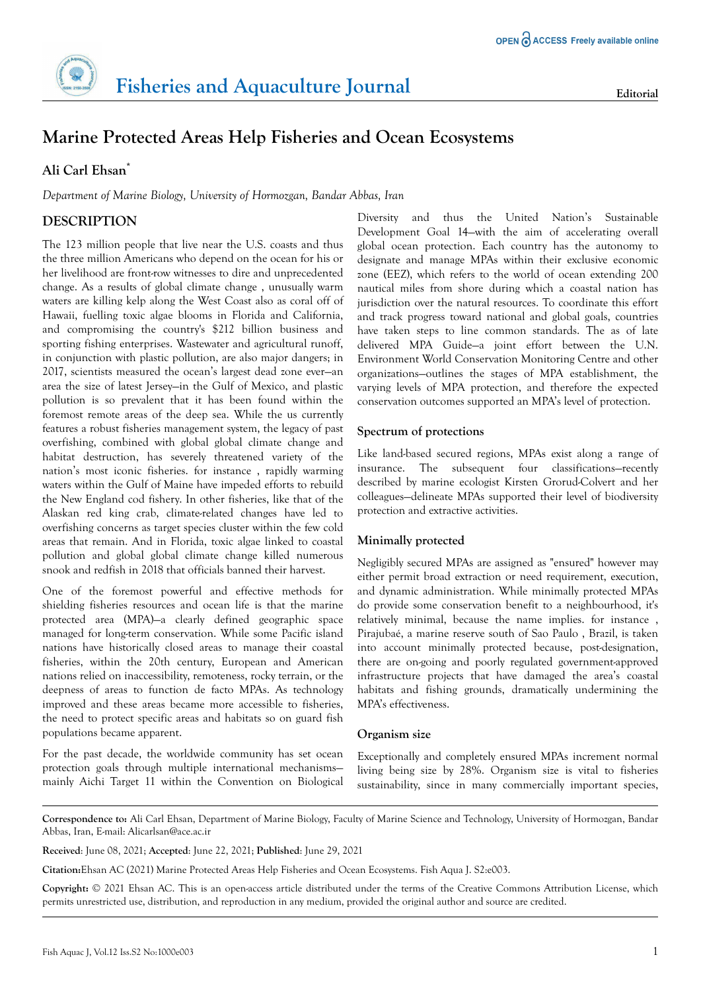# **Marine Protected Areas Help Fisheries and Ocean Ecosystems**

# **Ali Carl Ehsan\***

*Department of Marine Biology, University of Hormozgan, Bandar Abbas, Iran*

# **DESCRIPTION**

The 123 million people that live near the U.S. coasts and thus the three million Americans who depend on the ocean for his or her livelihood are front-row witnesses to dire and unprecedented change. As a results of global climate change , unusually warm waters are killing kelp along the West Coast also as coral off of Hawaii, fuelling toxic algae blooms in Florida and California, and compromising the country's \$212 billion business and sporting fishing enterprises. Wastewater and agricultural runoff, in conjunction with plastic pollution, are also major dangers; in 2017, scientists measured the ocean's largest dead zone ever—an area the size of latest Jersey—in the Gulf of Mexico, and plastic pollution is so prevalent that it has been found within the foremost remote areas of the deep sea. While the us currently features a robust fisheries management system, the legacy of past overfishing, combined with global global climate change and habitat destruction, has severely threatened variety of the nation's most iconic fisheries. for instance , rapidly warming waters within the Gulf of Maine have impeded efforts to rebuild the New England cod fishery. In other fisheries, like that of the Alaskan red king crab, climate-related changes have led to overfishing concerns as target species cluster within the few cold areas that remain. And in Florida, toxic algae linked to coastal pollution and global global climate change killed numerous snook and redfish in 2018 that officials banned their harvest.

One of the foremost powerful and effective methods for shielding fisheries resources and ocean life is that the marine protected area (MPA)—a clearly defined geographic space managed for long-term conservation. While some Pacific island nations have historically closed areas to manage their coastal fisheries, within the 20th century, European and American nations relied on inaccessibility, remoteness, rocky terrain, or the deepness of areas to function de facto MPAs. As technology improved and these areas became more accessible to fisheries, the need to protect specific areas and habitats so on guard fish populations became apparent.

For the past decade, the worldwide community has set ocean protection goals through multiple international mechanisms mainly Aichi Target 11 within the Convention on Biological

Diversity and thus the United Nation's Sustainable Development Goal 14—with the aim of accelerating overall global ocean protection. Each country has the autonomy to designate and manage MPAs within their exclusive economic zone (EEZ), which refers to the world of ocean extending 200 nautical miles from shore during which a coastal nation has jurisdiction over the natural resources. To coordinate this effort and track progress toward national and global goals, countries have taken steps to line common standards. The as of late delivered MPA Guide—a joint effort between the U.N. Environment World Conservation Monitoring Centre and other organizations—outlines the stages of MPA establishment, the varying levels of MPA protection, and therefore the expected conservation outcomes supported an MPA's level of protection.

## **Spectrum of protections**

Like land-based secured regions, MPAs exist along a range of insurance. The subsequent four classifications—recently described by marine ecologist Kirsten Grorud-Colvert and her colleagues—delineate MPAs supported their level of biodiversity protection and extractive activities.

### **Minimally protected**

Negligibly secured MPAs are assigned as "ensured" however may either permit broad extraction or need requirement, execution, and dynamic administration. While minimally protected MPAs do provide some conservation benefit to a neighbourhood, it's relatively minimal, because the name implies. for instance , Pirajubaé, a marine reserve south of Sao Paulo , Brazil, is taken into account minimally protected because, post-designation, there are on-going and poorly regulated government-approved infrastructure projects that have damaged the area's coastal habitats and fishing grounds, dramatically undermining the MPA's effectiveness.

### **Organism size**

Exceptionally and completely ensured MPAs increment normal living being size by 28%. Organism size is vital to fisheries sustainability, since in many commercially important species,

**Correspondence to:** Ali Carl Ehsan, Department of Marine Biology, Faculty of Marine Science and Technology, University of Hormozgan, Bandar Abbas, Iran, E-mail: Alicarlsan@ace.ac.ir

**Received**: June 08, 2021; **Accepted**: June 22, 2021; **Published**: June 29, 2021

**Citation:**Ehsan AC (2021) Marine Protected Areas Help Fisheries and Ocean Ecosystems. Fish Aqua J. S2:e003.

**Copyright:** © 2021 Ehsan AC. This is an open-access article distributed under the terms of the Creative Commons Attribution License, which permits unrestricted use, distribution, and reproduction in any medium, provided the original author and source are credited.